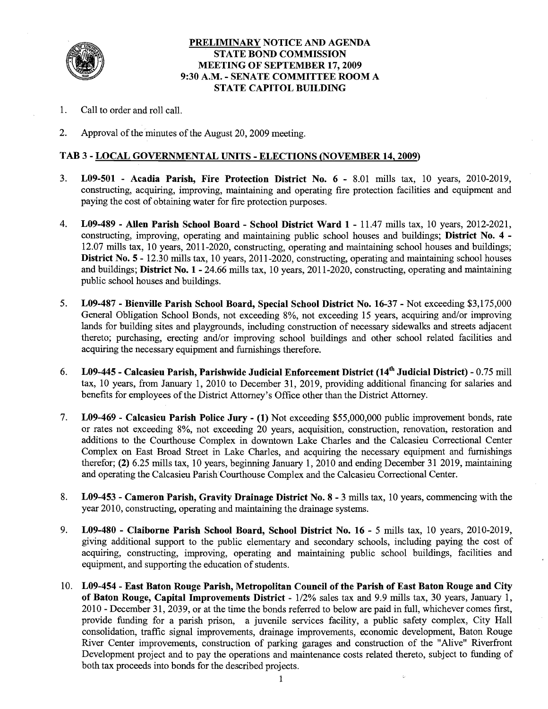

#### **PRELIMINARY NOTICE AND AGENDA STATE BOND COMMISSION MEETING OF SEPTEMBER 17,2009 9:30 A.M.** - **SENATE COMMITTEE ROOM A STATE CAPITOL BUILDING**

- 1. Call to order and roll call.
- 2. Approval of the minutes of the August 20,2009 meeting.

#### **TAB 3** - **LOCAL GOVERNMENTAL UNITS** - **ELECTIONS (NOVEMBER 14,2009)**

- 3. **L09-501 Acadia Parish, Fire Protection District No. 6**  8.01 mills tax, 10 years, 2010-2019, constructing, acquiring, improving, maintaining and operating fire protection facilities and equipment and paying the cost of obtaining water for fire protection purposes.
- 4. **L09-489 Allen Parish School Board School District Ward 1**  11.47 mills tax, 10 years, 2012-2021, constructing, improving, operating and maintaining public school houses and buildings; **District No. 4** - 12.07 mills tax, 10 years, 201 1-2020, constructing, operating and maintaining school houses and buildings; **District No. 5 - 12.30 mills tax, 10 years, 2011-2020, constructing, operating and maintaining school houses** and buildings; **District No. 1** - 24.66 mills tax, 10 years, 201 1-2020, constructing, operating and maintaining public school houses and buildings.
- 5. **L09-487 Bienville Parish School Board, Special School District No. 16-37**  Not exceeding \$3,175,000 General Obligation School Bonds, not exceeding 8%, not exceeding 15 years, acquiring and/or improving lands for building sites and playgrounds, including construction of necessary sidewalks and streets adjacent thereto; purchasing, erecting and/or improving school buildings and other school related facilities and acquiring the necessary equipment and furnishings therefore.
- 6. **L09-445 Calcasieu Parish, Parishwide Judicial Enforcement District (14~ Judicial District)**  0.75 mill tax, 10 years, from January 1, 2010 to December 31, 2019, providing additional financing for salaries and benefits for employees of the District Attorney's Office other than the District Attorney.
- 7. **L09-469 Calcasieu Parish Police Jury (1)** Not exceeding \$55,000,000 public improvement bonds, rate or rates not exceeding 8%, not exceeding 20 years, acquisition, construction, renovation, restoration and additions to the Courthouse Complex in downtown Lake Charles and the Calcasieu Correctional Center Complex on East Broad Street in Lake Charles, and acquiring the necessary equipment and furnishings therefor; **(2)** 6.25 mills tax, 10 years, beginning January 1, 2010 and ending December 31 2019, maintaining and operating the Calcasieu Parish Courthouse Complex and the Calcasieu Correctional Center.
- 8. **L09-453 Cameron Parish, Gravity Drainage District No. 8**  3 mills tax, 10 years, commencing with the year 2010, constructing, operating and maintaining the drainage systems.
- 9. **L09-480 Claiborne Parish School Board, School District No. 16**  5 mills tax, 10 years, 2010-2019, giving additional support to the public elementary and secondary schools, including paying the cost of acquiring, constructing, improving, operating and maintaining public school buildings, facilities and equipment, and supporting the education of students.
- 10. **L09-454 East Baton Rouge Parish, Metropolitan Council of the Parish of East Baton Rouge and City of Baton Rouge, Capital Improvements District -**  $1/2\%$  sales tax and 9.9 mills tax, 30 years, January 1, 2010 - December 31, 2039, or at the time the bonds referred to below are paid in full, whichever comes first, provide funding for a parish prison, a juvenile services facility, a public safety complex, City Hall consolidation, traffic signal improvements, drainage improvements, economic development, Baton Rouge River Center improvements, construction of parking garages and construction of the "Alive" Riverfront Development project and to pay the operations and maintenance costs related thereto, subject to funding of both tax proceeds into bonds for the described projects.

l.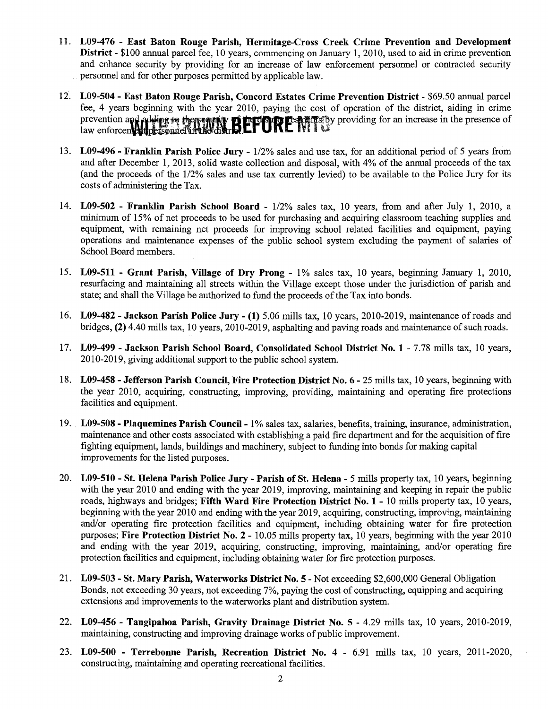- **L09-476 East Baton Rouge Parish, Hermitage-Cross Creek Crime Prevention and Development District** - \$100 annual parcel fee, 10 years, commencing on January 1, 2010, used to aid in crime prevention and enhance security by providing for an increase of law enforcement personnel or contracted security personnel and for other purposes permitted by applicable law.
- **L09-504 East Baton Rouge Parish, Concord Estates Crime Prevention District**  \$69.50 annual parcel fee, 4 years beginning with the year 2010, paying the cost of operation of the district, aiding in crime prevention and adding to the requiring **BETORE** WITS by providing for an increase in the presence of law enforcember the presence of
- **L09-496 Franklin Parish Police Jury**  112% sales and use tax, for an additional period of 5 years from and after December 1, 2013, solid waste collection and disposal, with 4% of the annual proceeds of the tax (and the proceeds of the 112% sales and use tax currently levied) to be available to the Police Jury for its costs of administering the Tax.
- 14. L09-502 **Franklin Parish School Board** 1/2% sales tax, 10 years, from and after July 1, 2010, a minimum of 15% of net proceeds to be used for purchasing and acquiring classroom teaching supplies and equipment, with remaining net proceeds for improving school related facilities and equipment, paying operations and maintenance expenses of the public school system excluding the payment of salaries of School Board members.
- **L09-511 Grant Parish, Village of Dry Prong**  1% sales tax, 10 years, beginning January 1, 2010, resurfacing and maintaining all streets within the Village except those under the jurisdiction of parish and state; and shall the Village be authorized to fund the proceeds of the Tax into bonds.
- **L09-482 Jackson Parish Police Jury (1)** 5.06 mills tax, 10 years, 2010-2019, maintenance of roads and bridges, **(2)** 4.40 mills tax, 10 years, 2010-2019, asphalting and paving roads and maintenance of such roads.
- **L09-499 Jackson Parish School Board, Consolidated School District No. 1**  7.78 mills tax, 10 years, 20 10-20 19, giving additional support to the public school system.
- **L09-458 Jefferson Parish Council, Fire Protection District No. 6**  25 mills tax, 10 years, beginning with the year 2010, acquiring, constructing, improving, providing, maintaining and operating fire protections facilities and equipment.
- **L09-508 Plaquemines Parish Council**  1% sales tax, salaries, benefits, training, insurance, administration, maintenance and other costs associated with establishing a paid fire department and for the acquisition of fire fighting equipment, lands, buildings and machinery, subject to funding into bonds for making capital improvements for the listed purposes.
- **L09-510 St. Helena Parish Police Jury Parish of St. Helena**  5 mills property tax, 10 years, beginning with the year 2010 and ending with the year 2019, improving, maintaining and keeping in repair the public roads, highways and bridges; **Fifth Ward Fire Protection District No. 1** - 10 mills property tax, 10 years, beginning with the year 2010 and ending with the year 2019, acquiring, constructing, improving, maintaining and/or operating fire protection facilities and equipment, including obtaining water for fire protection purposes; **Fire Protection District No. 2** - 10.05 mills property tax, 10 years, beginning with the year 2010 and ending with the year 2019, acquiring, constructing, improving, maintaining, and/or operating fire protection facilities and equipment, including obtaining water for fire protection purposes.
- **L09-503 St. Mary Parish, Waterworks District No. 5**  Not exceeding \$2,600,000 General Obligation Bonds, not exceeding 30 years, not exceeding 7%, paying the cost of constructing, equipping and acquiring extensions and improvements to the waterworks plant and distribution system.
- **L09-456 Tangipahoa Parish, Gravity Drainage District No. 5**  4.29 mills tax, 10 years, 2010-2019, maintaining, constructing and improving drainage works of public improvement.
- **L09-500 Terrebonne Parish, Recreation District No. 4**  6.91 mills tax, 10 years, 2011-2020, constructing, maintaining and operating recreational facilities.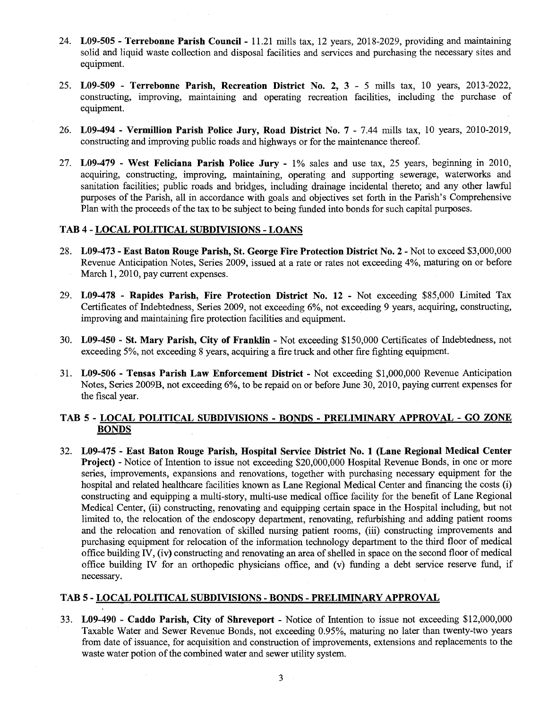- 24. **L09-505 Terrebonne Parish Council**  11.21 mills tax, 12 years, 2018-2029, providing and maintaining solid and liquid waste collection and disposal facilities and services and purchasing the necessary sites and equipment.
- 25. **L09-509 Terrebonne Parish, Recreation District No. 2, 3**  5 mills tax, 10 years, 2013-2022, constructing, improving, maintaining and operating recreation facilities, including the purchase of equipment.
- 26. **L09-494 Vermillion Parish Police Jury, Road District No. 7**  7.44 mills tax, 10 years, 2010-2019, constructing and improving public roads and highways or for the maintenance thereof.
- 27. **L09-479 West Feliciana Parish Police Jury**  1% sales and use tax, 25 years, beginning in 2010, acquiring, constructing, improving, maintaining, operating and supporting sewerage, waterworks and sanitation facilities; public roads and bridges, including drainage incidental thereto; and any other lawful purposes of the Parish, all in accordance with goals and objectives set forth in the Parish's Comprehensive Plan with the proceeds of the tax to be subject to being finded into bonds for such capital purposes.

#### **TAB 4** - **LOCAL POLITICAL SUBDIVISIONS** - **LOANS**

- 28. **L09-473 East Baton Rouge Parish, St. George Fire Protection District No. 2**  Not to exceed \$3,000,000 Revenue Anticipation Notes, Series 2009, issued at a rate or rates not exceeding 4%, maturing on or before March 1, 2010, pay current expenses.
- 29. **L09-478 Rapides Parish, Fire Protection District No. 12**  Not exceeding \$85,000 Limited Tax Certificates of Indebtedness, Series 2009, not exceeding 6%, not exceeding 9 years, acquiring, constructing, improving and maintaining fire protection facilities and equipment.
- 30. **L09-450 St. Mary Parish, City of Franklin**  Not exceeding \$150,000 Certificates of Indebtedness, not exceeding 5%, not exceeding 8 years, acquiring a fire truck and other fire fighting equipment.
- 31. **L09-506 Tensas Parish Law Enforcement District**  Not exceeding \$1,000,000 Revenue Anticipation Notes, Series 2009B, not exceeding 6%, to be repaid on or before June 30,2010, paying current expenses for the fiscal year.

### **TAB 5** - **LOCAL POLITICAL SUBDIVISIONS** - **BONDS** - **PRELIMINARY APPROVAL** - **GO ZONE BONDS**

32. **L09-475** - **East Baton Rouge Parish, Hospital Service District No. 1 (Lane Regional Medical Center Project)** - Notice of Intention to issue not exceeding \$20,000,000 Hospital Revenue Bonds, in one or more series, improvements, expansions and renovations, together with purchasing necessary equipment for the hospital and related healthcare facilities known as Lane Regional Medical Center and financing the costs (i) constructing and equipping a multi-story, multi-use medical office facility for the benefit of Lane Regional Medical Center, (ii) constructing, renovating and equipping certain space in the Hospital including, but not limited to, the relocation of the endoscopy department, renovating, refurbishing and adding patient rooms and the relocation and renovation of skilled nursing patient rooms, (iii) constructing improvements and purchasing equipment for relocation of the information technology department to the third floor of medical office building IV, (iv) constructing and renovating an area of shelled in space on the second floor of medical office building IV for an orthopedic physicians office, and  $(v)$  funding a debt service reserve fund, if necessary.

#### **TAB 5** - **LOCAL POLITICAL SUBDIVISIONS** - **BONDS** - **PRELIMINARY APPROVAL**

33. **L09-490** - **Caddo Parish, City of Shreveport** - Notice of Intention to issue not exceeding \$12,000,000 Taxable Water and Sewer Revenue Bonds, not exceeding 0.95%, maturing no later than twenty-two years from date of issuance, for acquisition and construction of improvements, extensions and replacements to the waste water potion of the combined water and sewer utility system.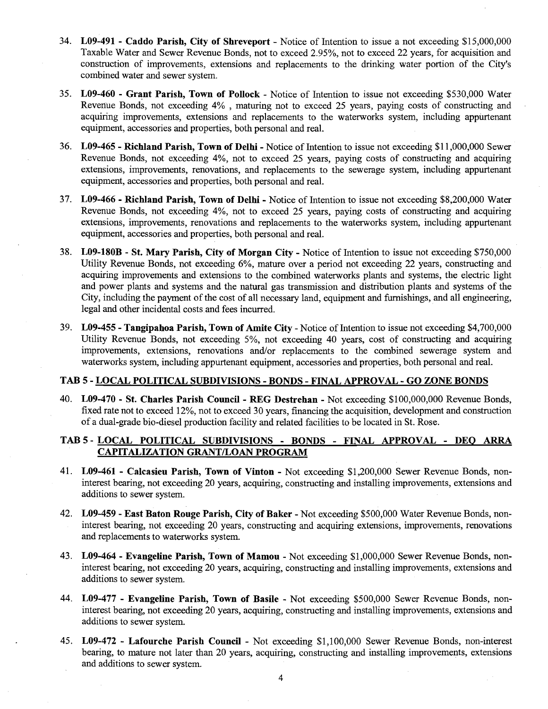- 34. **L09-491 Caddo Parish, City of Shreveport**  Notice of Intention to issue a not exceeding \$15,000,000 Taxable Water and Sewer Revenue Bonds, not to exceed 2.95%, not to exceed 22 years, for acquisition and construction of improvements, extensions and replacements to the drinking water portion of the City's combined water and sewer system.
- 35. **L09-460 Grant Parish, Town of Pollock**  Notice of Intention to issue not exceeding \$530,000 Water Revenue Bonds, not exceeding  $4\%$ , maturing not to exceed 25 years, paying costs of constructing and acquiring improvements, extensions and replacements to the waterworks system, including appurtenant equipment, accessories and properties, both personal and real.
- 36. **L09-465 Richland Parish, Town of Delhi**  Notice of Intention to issue not exceeding \$1 1,000,000 Sewer Revenue Bonds, not exceeding 4%, not to exceed 25 years, paying costs of constructing and acquiring extensions, improvements, renovations, and replacements to the sewerage system, including appurtenant equipment, accessories and properties, both personal and real.
- 37. **L09-466 Richland Parish, Town of Delhi**  Notice of Intention to issue not exceeding \$8,200,000 Water Revenue Bonds, not exceeding 4%, not to exceed 25 years, paying costs of constructing and acquiring extensions, improvements, renovations and replacements to the waterworks system, including appurtenant equipment, accessories and properties, both personal and real.
- 38. **L09-180B St. Mary Parish, City of Morgan City**  Notice of Intention to issue not exceeding \$750,000 Utility Revenue Bonds, not exceeding 6%, mature over a period not exceeding 22 years, constructing and acquiring improvements and extensions to the combined waterworks plants and systems, the electric light and power plants and systems and the natural gas transmission and distribution plants and systems of the City, including the payment of the cost of all necessary land, equipment and furnishings, and all engineering, legal and other incidental costs and fees incurred.
- 39. **L09-455 Tangipahoa Parish, Town of Amite City**  Notice of Intention to issue not exceeding \$4,700,000 Utility Revenue Bonds, not exceeding 5%, not exceeding 40 years, cost of constructing and acquiring improvements, extensions, renovations and/or replacements to the combined sewerage system and waterworks system, including appurtenant equipment, accessories and properties, both personal and real.

#### **TAB 5** - **LOCAL POLITICAL SUBDIVISIONS** - **BONDS** - **FINAL APPROVAL** - **GO ZONE BONDS**

40. **L09-470** - **St. Charles Parish Council** - **REG Destrehan** - Not exceeding \$100,000,000 Revenue Bonds, fixed rate not to exceed 12%, not to exceed 30 years, financing the acquisition, development and construction of a dual-grade bio-diesel production facility and related facilities to be located in St. Rose.

#### **TAB 5** - **LOCAL POLITICAL SUBDIVISIONS** - **BONDS** - **FINAL APPROVAL** - **DEO ARRA CAPITALIZATION GRANT/LOAN PROGRAM**

- 41. **L09-461 Calcasieu Parish, Town of Vinton**  Not exceeding \$1,200,000 Sewer Revenue Bonds, noninterest bearing, not exceeding 20 years, acquiring, constructing and installing improvements, extensions and additions to sewer system.
- 42. **L09-459 East Baton Rouge Parish, City of Baker**  Not exceeding \$500,000 Water Revenue Bonds, noninterest bearing, not exceeding 20 years, constructing and acquiring extensions, improvements, renovations and replacements to waterworks system.
- 43. **L09-464 Evangeline Parish, Town of Mamou**  Not exceeding \$1,000,000 Sewer Revenue Bonds, noninterest bearing, not exceeding 20 years, acquiring, constructing and installing improvements, extensions and additions to sewer system.
- 44. **L09-477 Evangeline Parish, Town of Basile**  Not exceeding \$500,000 Sewer Revenue Bonds, noninterest bearing, not exceeding 20 years, acquiring, constructing and installing improvements, extensions and additions to sewer system.
- 45. **L09-472 Lafourche Parish Council**  Not exceeding \$1,100,000 Sewer Revenue Bonds, non-interest bearing, to mature not later than 20 years, acquiring, constructing and installing improvements, extensions and additions to sewer system.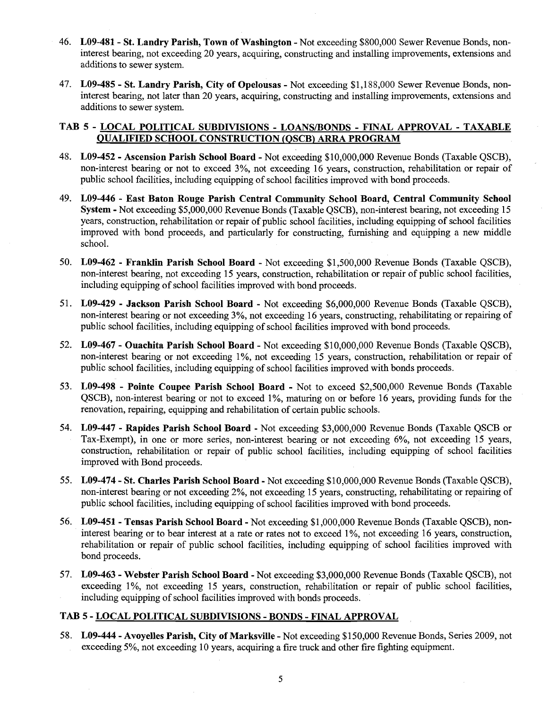- 46. **L09-481- St. Landry Parish, Town of Washington**  Not exceeding \$800,000 Sewer Revenue Bonds, noninterest bearing, not exceeding 20 years, acquiring, constructing and installing improvements, extensions and additions to sewer system.
- 47. **L09-485 St. Landry Parish, City of Opelousas**  Not exceeding \$1,188,000 Sewer Revenue Bonds, noninterest bearing, not later than 20 years, acquiring, constructing and installing improvements, extensions and additions to sewer system.

### **TAB 5** - **LOCAL POLITICAL SUBDIVISIONS** - **LOANS/BONDS** - **FINAL APPROVAL** - **TAXABLE QUALIFIED SCHOOL CONSTRUCTION (OSCB) ARRA PROGRAM**

- 48. **L09-452 Ascension Parish School Board**  Not exceeding \$10,000,000 Revenue Bonds (Taxable QSCB), non-interest bearing or not to exceed 3%, not exceeding 16 years, construction, rehabilitation or repair of public school facilities, including equipping of school facilities improved with bond proceeds.
- 49. **L09-446 East Baton Rouge Parish Central Community School Board, Central Community School System** - Not exceeding \$5,000,000 Revenue Bonds (Taxable QSCB), non-interest bearing, not exceeding 15 years, construction, rehabilitation or repair of public school facilities, including equipping of school facilities improved with bond proceeds, and particularly for constructing, fiunishing and equipping a new middle school.
- 50. **L09-462 Franklin Parish School Board**  Not exceeding \$1,500,000 Revenue Bonds (Taxable QSCB), non-interest bearing, not exceeding 15 years, construction, rehabilitation or repair of public school facilities, including equipping of school facilities improved with bond proceeds.
- 51. **L09-429 Jackson Parish School Board**  Not exceeding \$6,000,000 Revenue Bonds (Taxable QSCB), non-interest bearing or not exceeding 3%, not exceeding 16 years, constructing, rehabilitating or repairing of public school facilities, including equipping of school facilities improved with bond proceeds.
- 52. **L09-467 Ouachita Parish School Board**  Not exceeding \$10,000,000 Revenue Bonds (Taxable QSCB), non-interest bearing or not exceeding 1%, not exceeding 15 years, construction, rehabilitation or repair of public school facilities, including equipping of school facilities improved with bonds proceeds.
- 53. **L09-498 Pointe Coupee Parish School Board**  Not to exceed \$2,500,000 Revenue Bonds (Taxable QSCB), non-interest bearing or not to exceed 1%, maturing on or before 16 years, providing funds for the renovation, repairing, equipping and rehabilitation of certain public schools.
- 54. **L09-447 Rapides Parish School Board**  Not exceeding \$3,000,000 Revenue Bonds (Taxable QSCB or Tax-Exempt), in one or more series, non-interest bearing or not exceeding 6%, not exceeding 15 years, construction, rehabilitation or repair of public school facilities, including equipping of school facilities improved with Bond proceeds.
- 55. **L09-474 St. Charles Parish School Board**  Not exceeding \$10,000,000 Revenue Bonds (Taxable QSCB), non-interest bearing or not exceeding 2%, not exceeding 15 years, constructing, rehabilitating or repairing of public school facilities, including equipping of school facilities improved with bond proceeds.
- 56. **L09-451- Tensas Parish School Board**  Not exceeding \$1,000,000 Revenue Bonds (Taxable QSCB), noninterest bearing or to bear interest at a rate or rates not to exceed 1%, not exceeding 16 years, construction, rehabilitation or repair of public school facilities, including equipping of school facilities improved with bond proceeds.
- 57. **L09-463 Webster Parish School Board**  Not exceeding \$3,000,000 Revenue Bonds (Taxable QSCB), not exceeding 1%, not exceeding 15 years, construction, rehabilitation or repair of public school facilities, including equipping of school facilities improved with bonds proceeds.

### **TAB 5** - **LOCAL POLITICAL SUBDIVISIONS** - **BONDS** - **FINAL APPROVAL**

58. **L09-444** - **Avoyelles Parish, City of Marksville** - Not exceeding \$150,000 Revenue Bonds, Series 2009, not exceeding 5%, not exceeding 10 years, acquiring a fire truck and other fire fighting equipment.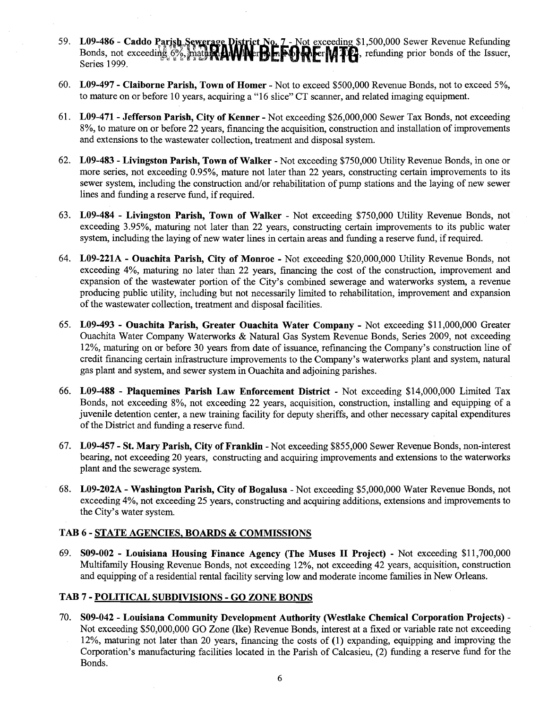- 59. L09-486 Caddo Parish Sewerage District No. 7 Not exceeding \$1,500,000 Sewer Revenue Refunding Bonds, not exceeding  $6\%$ , mathing  $\blacksquare$  with  $\blacksquare$  is  $\blacksquare$   $\blacksquare$   $\blacksquare$   $\blacksquare$   $\blacksquare$   $\blacksquare$  and  $\blacksquare$  and  $\blacksquare$  and  $\blacksquare$  prior bonds of the Issuer, Series 1999.
- 60. **L09-497 Claiborne Parish, Town of Homer**  Not to exceed \$500,000 Revenue Bonds, not to exceed 5%, to mature on or before 10 years, acquiring a "16 slice" CT scanner, and related imaging equipment.
- 61. **L09-471- Jefferson Parish, City of Kenner**  Not exceeding \$26,000,000 Sewer Tax Bonds, not exceeding 8%, to mature on or before 22 years, financing the acquisition, construction and installation of improvements and extensions to the wastewater collection, treatment and disposal system.
- 62. **L09-483 Livingston Parish, Town of Walker**  Not exceeding \$750,000 Utility Revenue Bonds, in one or more series, not exceeding 0.95%, mature not later than 22 years, constructing certain improvements to its sewer system, including the construction and/or rehabilitation of pump stations and the laying of new sewer lines and funding a reserve fund, if required.
- 63. **L09-484 Livingston Parish, Town of Walker**  Not exceeding \$750,000 Utility Revenue Bonds, not exceeding 3.95%, maturing not later than 22 years, constructing certain improvements to its public water system, including the laying of new water lines in certain areas and funding a reserve fund, if required.
- 64. **L09-221A Ouachita Parish, City of Monroe**  Not exceeding \$20,000,000 Utility Revenue Bonds, not exceeding 4%, maturing no later than 22 years, financing the cost of the construction, improvement and expansion of the wastewater portion of the City's combined sewerage and waterworks system, a revenue producing public utility, including but not necessarily limited to rehabilitation, improvement and expansion of the wastewater collection, treatment and disposal facilities.
- 65. **L09-493 Ouachita Parish, Greater Ouachita Water Company**  Not exceeding \$11,000,000 Greater Ouachita Water Company Waterworks & Natural Gas System Revenue Bonds, Series 2009, not exceeding 12%, maturing on or before 30 years from date of issuance, refinancing the Company's construction line of credit financing certain infrastructure improvements to the Company's waterworks plant and system, natural gas plant and system, and sewer system in Ouachita and adjoining parishes.
- 66. **L09-488 Plaquemines Parish Law Enforcement District**  Not exceeding \$14,000,000 Limited Tax Bonds, not exceeding 8%, not exceeding 22 years, acquisition, construction, installing and equipping of a juvenile detention center, a new training facility for deputy sheriffs, and other necessary capital expenditures of the District and funding a reserve fund.
- 67. **L09-457 St. Mary Parish, City of Franklin**  Not exceeding \$855,000 Sewer Revenue Bonds, non-interest bearing, not exceeding 20 years, constructing and acquiring improvements and extensions to the waterworks plant and the sewerage system.
- 68. **L09-202A Washington Parish, City of Bogalusa**  Not exceeding \$5,000,000 Water Revenue Bonds, not exceeding 4%, not exceeding 25 years, constructing and acquiring additions, extensions and improvements to the City's water system.

#### **TAB 6** - **STATE AGENCIES, BOARDS** & **COMMISSIONS**

69. **S09-002** - **Louisiana Housing Finance Agency (The Muses I1 Project)** - Not exceeding \$11,700,000 Multifamily Housing Revenue Bonds, not exceeding 12%, not exceeding 42 years, acquisition, construction and equipping of a residential rental facility serving low and moderate income families in New Orleans.

#### **TAB 7** - **POLITICAL SUBDMSIONS** - **GO ZONE BONDS**

70. **S09-042** - **Louisiana Community Development Authority (Westlake Chemical Corporation Projects)** - Not exceeding \$50,000,000 GO Zone (Ike) Revenue Bonds, interest at a fixed or variable rate not exceeding 12%, maturing not later than 20 years, financing the costs of (1) expanding, equipping and improving the Corporation's manufacturing facilities located in the Parish of Calcasieu, (2) funding a reserve fund for the Bonds.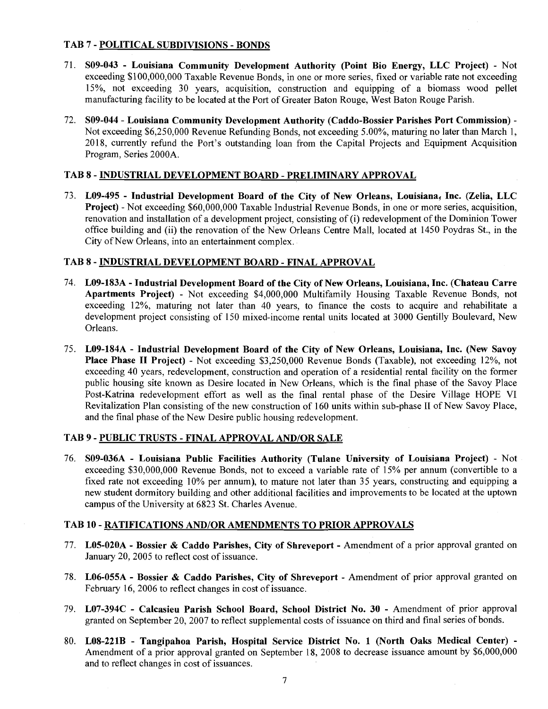#### TAB 7 - POLITICAL SUBDIVISIONS - BONDS

- 71. S09-043 Louisiana Community Development Authority (Point Bio Energy, LLC Project) Not exceeding \$100,000,000 Taxable Revenue Bonds, in one or more series, fixed or variable rate not exceeding 15%, not exceeding 30 years, acquisition, construction and equipping of a biomass wood pellet manufacturing facility to be located at the Port of Greater Baton Rouge, West Baton Rouge Parish.
- 72. S09-044 Louisiana Community Development Authority (Caddo-Bossier Parishes Port Commission) Not exceeding \$6,250,000 Revenue Refunding Bonds, not exceeding 5.00%, maturing no later than March 1, 2018, currently refund the Port's outstanding loan from the Capital Projects and Equipment Acquisition Program, Series 2000A.

### TAB 8 - INDUSTRIAL DEVELOPMENT BOARD - PRELIMINARY APPROVAL

73. L09-495 - Industrial Development Board of the City of New Orleans, Louisiana, Inc. (Zelia, LLC Project) - Not exceeding \$60,000,000 Taxable Industrial Revenue Bonds, in one or more series, acquisition, renovation and installation of a development project, consisting of (i) redevelopment of the Dominion Tower office building and (ii) the renovation of the New Orleans Centre Mall, located at 1450 Poydras St., in the City of New Orleans, into an entertainment complex.

### TAB 8 - INDUSTRIAL DEVELOPMENT BOARD - FINAL APPROVAL

- 74. L09-183A Industrial Development Board of the City of New Orleans, Louisiana, Inc. (Chateau Carre Apartments Project) - Not exceeding \$4,000,000 Multifamily Housing Taxable Revenue Bonds, not exceeding 12%, maturing not later than 40 years, to finance the costs to acquire and rehabilitate a development project consisting of 150 mixed-income rental units located at 3000 Gentilly Boulevard, New Orleans.
- 75. L09-184A Industrial Development Board of the City of New Orleans, Louisiana, Inc. (New Savoy Place Phase II Project) - Not exceeding \$3,250,000 Revenue Bonds (Taxable), not exceeding 12%, not exceeding 40 years, redevelopment, construction and operation of a residential rental facility on the former public housing site known as Desire located in New Orleans, which is the final phase of the Savoy Place Post-Katrina redevelopment effort as well as the final rental phase of the Desire Village HOPE VI Revitalization Plan consisting of the new construction of 160 units within sub-phase **I1** of New Savoy Place, and the final phase of the New Desire public housing redevelopment.

#### TAB 9 - PUBLIC TRUSTS - FINAL APPROVAL AND/OR SALE

76. S09-036A - Louisiana Public Facilities Authority (Tulane University of Louisiana Project) - Not exceeding \$30,000,000 Revenue Bonds, not to exceed a variable rate of 15% per annum (convertible to a fixed rate not exceeding 10% per annum), to mature not later than 35 years, constructing and equipping a new student dormitory building and other additional facilities and improvements to be located at the uptown campus of the University at 6823 St. Charles Avenue.

#### TAB 10 - RATIFICATIONS AND/OR AMENDMENTS TO PRIOR APPROVALS

- 77. L05-020A Bossier & Caddo Parishes, City of Shreveport Amendment of a prior approval granted on January 20,2005 to reflect cost of issuance.
- 78. L06-055A Bossier & Caddo Parishes, City of Shreveport Amendment of prior approval granted on February 16, 2006 to reflect changes in cost of issuance.
- 79. L07-394C Calcasieu Parish School Board, School District No. 30 Amendment of prior approval granted on September 20, 2007 to reflect supplemental costs of issuance on third and final series of bonds.
- 80. L08-221B Tangipahoa Parish, Hospital Service District No. 1 (North Oaks Medical Center) Amendment of a prior approval granted on September 18, 2008 to decrease issuance amount by \$6,000,000 and to reflect changes in cost of issuances.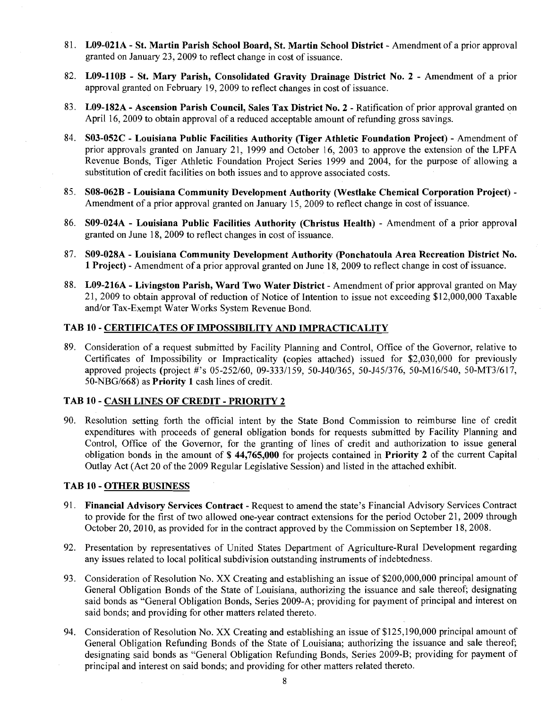- 8 1. **L09-021A St. Martin Parish School Board, St. Martin School District**  Amendment of a prior approval granted on January 23,2009 to reflect change in cost of issuance.
- 82. **L09-llOB St. Mary Parish, Consolidated Gravity Drainage District No. 2**  Amendment of a prior approval granted on February 19,2009 to reflect changes in cost of issuance.
- 83. **L09-182A Ascension Parish Council, Sales Tax District No. 2**  Ratification of prior approval granted on April 16,2009 to obtain approval of a reduced acceptable amount of refunding gross savings.
- 84. **S03-052C Louisiana Public Facilities Authority (Tiger Athletic Foundation Project)**  Amendment of prior approvals granted on January 21, 1999 and October 16, 2003 to approve the extension of the LPFA Revenue Bonds, Tiger Athletic Foundation Project Series 1999 and 2004, for the purpose of allowing a substitution of credit facilities on both issues and to approve associated costs.
- 85. **S08-062B Louisiana Community Development Authority (Westlake Chemical Corporation Project)**  Amendment of a prior approval granted on January 15,2009 to reflect change in cost of issuance.
- 86. **S09-024A Louisiana Public Facilities Authority (Christus Health)**  Amendment of a prior approval granted on June 18,2009 to reflect changes in cost of issuance.
- 87. **S09-028A Louisiana Community Development Authority (Ponchatoula Area Recreation District No. 1 Project)** - Amendment of a prior approval granted on June 18,2009 to reflect change in cost of issuance.
- 88. **L09-216A Livingston Parish, Ward Two Water District**  Amendment of prior approval granted on May 21, 2009 to obtain approval of reduction of Notice of Intention to issue not exceeding \$12,000,000 Taxable and/or Tax-Exempt Water Works System Revenue Bond.

#### **TAB 10** - **CERTIFICATES OF IMPOSSIBILITY AND IMPRACTICALITY**

89. Consideration of a request submitted by Facility Planning and Control, Office of the Governor, relative to Certificates of Impossibility or Impracticality (copies attached) issued for \$2,030,000 for previously approved projects (project #'s 05-252/60, 09-333/159, 50-J40/365, 50-J45/376, 50-M16/540, 50-MT3/617, 50-NBG/668) as **Priority 1** cash lines of credit.

#### **TAB 10** - **CASH LINES OF CREDIT** - **PRIORITY 2**

90. Resolution setting forth the official intent by the State Bond Commission to reimburse line of credit expenditures with proceeds of general obligation bonds for requests submitted by Facility Planning and Control, Office of the Governor, for the granting of lines of credit and authorization to issue general obligation bonds in the amount of \$ **44,765,000** for projects contained in **Priority 2** of the current Capital Outlay Act (Act 20 of the 2009 Regular Legislative Session) and listed in the attached exhibit.

#### **TAB 10** - **OTHER BUSINESS**

- 91. **Financial Advisory Services Contract**  Request to amend the state's Financial Advisory Services Contract to provide for the first of two allowed one-year contract extensions for the period October 21, 2009 through October 20,2010, as provided for in the contract approved by the Commission on September 18,2008.
- 92. Presentation by representatives of United States Department of Agriculture-Rural Development regarding any issues related to local political subdivision outstanding instruments of indebtedness.
- 93. Consideration of Resolution No. XX Creating and establishing an issue of \$200,000,000 principal amount of General Obligation Bonds of the State of Louisiana, authorizing the issuance and sale thereof; designating said bonds as "General Obligation Bonds, Series 2009-A; providing for payment of principal and interest on said bonds; and providing for other matters related thereto.
- 94. Consideration of Resolution No. XX Creating and establishing an issue of \$125,190,000 principal amount of General Obligation Refunding Bonds of the State of Louisiana; authorizing the issuance and sale thereof; designating said bonds as "General Obligation Refunding Bonds, Series 2009-B; providing for payment of principal and interest on said bonds; and providing for other matters related thereto.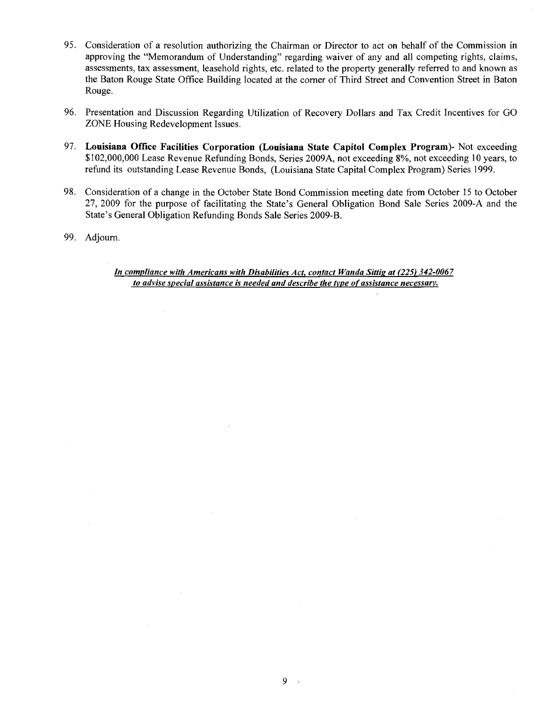- 95. Consideration of a resolution authorizing the Chairman or Director to act on behalf of the Commission in approving the "Memorandum of Understanding" regarding waiver of any and all competing rights, claims, assessments, tax assessment, leasehold rights, etc. related to the property generally referred to and known as the Baton Rouge State Office Building located at the corner of Third Street and Convention Street in Baton Rouge.
- 96. Presentation and Discussion Regarding Utilization of Recovery Dollars and Tax Credit Incentives for GO ZONE Housing Redevelopment Issues.
- 97. Louisiana Office Facilities Corporation (Louisiana State Capitol Complex Program)- Not exceeding \$102,000,000 Lease Revenue Refunding Bonds, Series 2009A, not exceeding 8%, not exceeding 10 years, to refund its outstanding Lease Revenue Bonds, (Louisiana State Capital Complex Program) Series 1999.
- 98. Consideration of a change in the October State Bond Commission meeting date from October 15 to October 27, 2009 for the purpose of facilitating the State's General Obligation Bond Sale Series 2009-A and the State's General Obligation Refunding Bonds Sale Series 2009-B.
- 99. Adjourn.

*In compliance with Americans with Disabilities Act. contact Wanda Sittip at (225) 342-0067 to advise special assistance is needed and describe the tvpe of assistance necessarv.*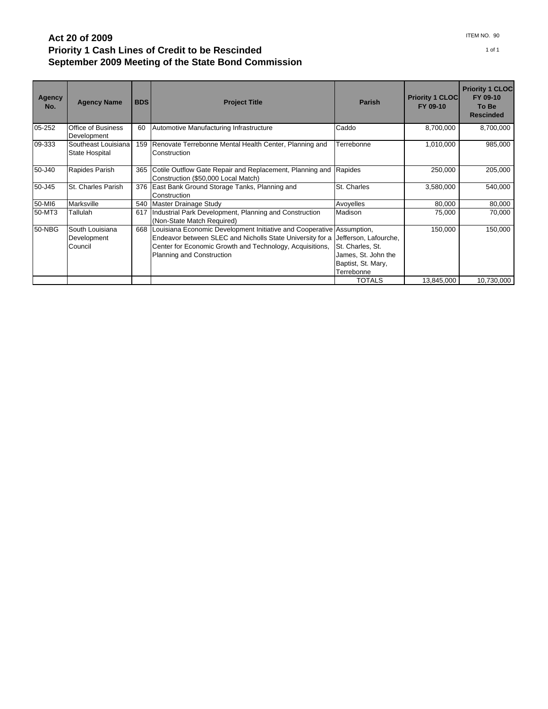### **Act 20 of 2009 Priority 1 Cash Lines of Credit to be Rescinded September 2009 Meeting of the State Bond Commission**

| <b>Agency</b><br>No. | <b>Agency Name</b>                        | <b>BDS</b> | <b>Project Title</b>                                                                                                                                                                                                        | <b>Parish</b>                                                                                        | <b>Priority 1 CLOC</b><br>FY 09-10 | <b>Priority 1 CLOC</b><br>FY 09-10<br>To Be<br><b>Rescinded</b> |
|----------------------|-------------------------------------------|------------|-----------------------------------------------------------------------------------------------------------------------------------------------------------------------------------------------------------------------------|------------------------------------------------------------------------------------------------------|------------------------------------|-----------------------------------------------------------------|
| 05-252               | <b>Office of Business</b><br>Development  | 60         | Automotive Manufacturing Infrastructure                                                                                                                                                                                     | Caddo                                                                                                | 8,700,000                          | 8,700,000                                                       |
| 09-333               | Southeast Louisiana<br>State Hospital     | 159        | Renovate Terrebonne Mental Health Center, Planning and<br>Construction                                                                                                                                                      | Terrebonne                                                                                           | 1,010,000                          | 985,000                                                         |
| 50-J40               | Rapides Parish                            | 365        | Cotile Outflow Gate Repair and Replacement, Planning and<br>Construction (\$50,000 Local Match)                                                                                                                             | Rapides                                                                                              | 250,000                            | 205,000                                                         |
| 50-J45               | St. Charles Parish                        |            | 376 East Bank Ground Storage Tanks, Planning and<br>Construction                                                                                                                                                            | St. Charles                                                                                          | 3,580,000                          | 540,000                                                         |
| 50-MI6               | Marksville                                |            | 540   Master Drainage Study                                                                                                                                                                                                 | Avoyelles                                                                                            | 80,000                             | 80,000                                                          |
| 50-MT3               | Tallulah                                  | 617        | Industrial Park Development, Planning and Construction<br>(Non-State Match Required)                                                                                                                                        | Madison                                                                                              | 75,000                             | 70,000                                                          |
| 50-NBG               | South Louisiana<br>Development<br>Council | 668        | Louisiana Economic Development Initiative and Cooperative Assumption,<br>Endeavor between SLEC and Nicholls State University for a<br>Center for Economic Growth and Technology, Acquisitions,<br>Planning and Construction | Jefferson, Lafourche,<br>St. Charles, St.<br>James, St. John the<br>Baptist, St. Mary,<br>Terrebonne | 150,000                            | 150,000                                                         |
|                      |                                           |            |                                                                                                                                                                                                                             | <b>TOTALS</b>                                                                                        | 13,845,000                         | 10,730,000                                                      |

ITEM NO. 90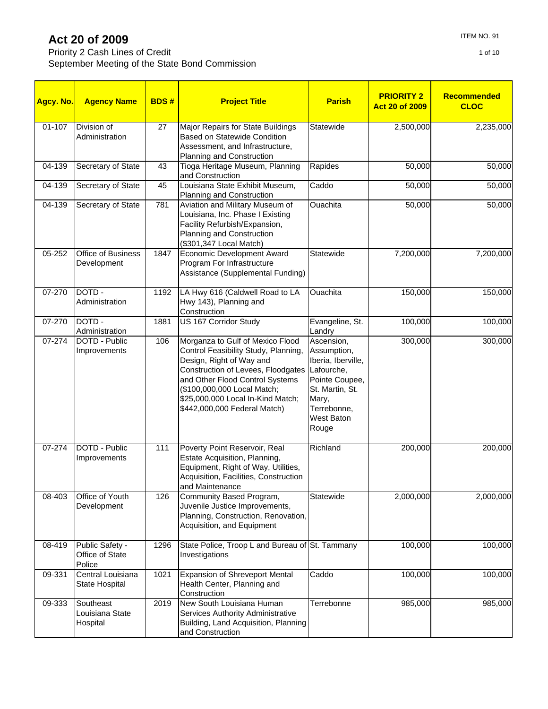Priority 2 Cash Lines of Credit September Meeting of the State Bond Commission

| Agcy. No. | <b>Agency Name</b>                           | <b>BDS#</b> | <b>Project Title</b>                                                                                                                                                                                                                                                              | <b>Parish</b>                                                                                                                                     | <b>PRIORITY 2</b><br><b>Act 20 of 2009</b> | Recommended<br><b>CLOC</b> |
|-----------|----------------------------------------------|-------------|-----------------------------------------------------------------------------------------------------------------------------------------------------------------------------------------------------------------------------------------------------------------------------------|---------------------------------------------------------------------------------------------------------------------------------------------------|--------------------------------------------|----------------------------|
| 01-107    | Division of<br>Administration                | 27          | Major Repairs for State Buildings<br><b>Based on Statewide Condition</b><br>Assessment, and Infrastructure,<br>Planning and Construction                                                                                                                                          | Statewide                                                                                                                                         | $\overline{2,}500,000$                     | 2,235,000                  |
| 04-139    | Secretary of State                           | 43          | Tioga Heritage Museum, Planning<br>and Construction                                                                                                                                                                                                                               | Rapides                                                                                                                                           | 50,000                                     | 50,000                     |
| 04-139    | Secretary of State                           | 45          | Louisiana State Exhibit Museum,<br>Planning and Construction                                                                                                                                                                                                                      | Caddo                                                                                                                                             | 50,000                                     | 50,000                     |
| 04-139    | Secretary of State                           | 781         | Aviation and Military Museum of<br>Louisiana, Inc. Phase I Existing<br>Facility Refurbish/Expansion,<br>Planning and Construction<br>(\$301,347 Local Match)                                                                                                                      | <b>Ouachita</b>                                                                                                                                   | 50,000                                     | 50,000                     |
| 05-252    | <b>Office of Business</b><br>Development     | 1847        | <b>Economic Development Award</b><br>Program For Infrastructure<br>Assistance (Supplemental Funding)                                                                                                                                                                              | Statewide                                                                                                                                         | 7,200,000                                  | 7,200,000                  |
| 07-270    | DOTD-<br>Administration                      | 1192        | LA Hwy 616 (Caldwell Road to LA<br>Hwy 143), Planning and<br>Construction                                                                                                                                                                                                         | Ouachita                                                                                                                                          | 150,000                                    | 150,000                    |
| 07-270    | DOTD-<br>Administration                      | 1881        | <b>US 167 Corridor Study</b>                                                                                                                                                                                                                                                      | Evangeline, St.<br>Landry                                                                                                                         | 100,000                                    | 100,000                    |
| 07-274    | DOTD - Public<br>Improvements                | 106         | Morganza to Gulf of Mexico Flood<br>Control Feasibility Study, Planning,<br>Design, Right of Way and<br>Construction of Levees, Floodgates<br>and Other Flood Control Systems<br>(\$100,000,000 Local Match;<br>\$25,000,000 Local In-Kind Match;<br>\$442,000,000 Federal Match) | Ascension,<br>Assumption,<br>Iberia, Iberville,<br>Lafourche,<br>Pointe Coupee,<br>St. Martin, St.<br>Mary,<br>Terrebonne,<br>West Baton<br>Rouge | 300,000                                    | 300,000                    |
| 07-274    | DOTD - Public<br>Improvements                | 111         | Poverty Point Reservoir, Real<br>Estate Acquisition, Planning,<br>Equipment, Right of Way, Utilities,<br>Acquisition, Facilities, Construction<br>and Maintenance                                                                                                                 | Richland                                                                                                                                          | 200,000                                    | 200,000                    |
| 08-403    | Office of Youth<br>Development               | 126         | Community Based Program,<br>Juvenile Justice Improvements,<br>Planning, Construction, Renovation,<br>Acquisition, and Equipment                                                                                                                                                   | Statewide                                                                                                                                         | 2,000,000                                  | 2,000,000                  |
| 08-419    | Public Safety -<br>Office of State<br>Police | 1296        | State Police, Troop L and Bureau of St. Tammany<br>Investigations                                                                                                                                                                                                                 |                                                                                                                                                   | 100,000                                    | 100,000                    |
| 09-331    | Central Louisiana<br>State Hospital          | 1021        | <b>Expansion of Shreveport Mental</b><br>Health Center, Planning and<br>Construction                                                                                                                                                                                              | Caddo                                                                                                                                             | 100,000                                    | 100,000                    |
| 09-333    | Southeast<br>Louisiana State<br>Hospital     | 2019        | New South Louisiana Human<br>Services Authority Administrative<br>Building, Land Acquisition, Planning<br>and Construction                                                                                                                                                        | Terrebonne                                                                                                                                        | 985,000                                    | 985,000                    |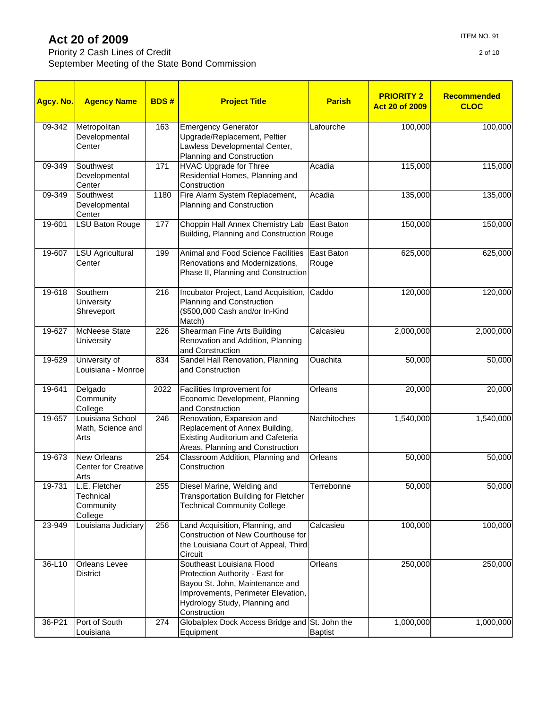Priority 2 Cash Lines of Credit September Meeting of the State Bond Commission

| Agcy. No. | <b>Agency Name</b>                                        | <b>BDS#</b> | <b>Project Title</b>                                                                                                                 | <b>Parish</b>       | <b>PRIORITY 2</b><br><b>Act 20 of 2009</b> | Recommended<br><b>CLOC</b> |
|-----------|-----------------------------------------------------------|-------------|--------------------------------------------------------------------------------------------------------------------------------------|---------------------|--------------------------------------------|----------------------------|
| 09-342    | Metropolitan<br>Developmental<br>Center                   | 163         | <b>Emergency Generator</b><br>Upgrade/Replacement, Peltier<br>Lawless Developmental Center,<br>Planning and Construction             | Lafourche           | 100,000                                    | 100,000                    |
| 09-349    | Southwest<br>Developmental<br>Center                      | 171         | <b>HVAC Upgrade for Three</b><br>Residential Homes, Planning and<br>Construction                                                     | Acadia              | 115,000                                    | 115,000                    |
| 09-349    | Southwest<br>Developmental<br>Center                      | 1180        | Fire Alarm System Replacement,<br>Planning and Construction                                                                          | Acadia              | 135,000                                    | 135,000                    |
| 19-601    | <b>LSU Baton Rouge</b>                                    | 177         | Choppin Hall Annex Chemistry Lab<br>Building, Planning and Construction Rouge                                                        | East Baton          | 150,000                                    | 150,000                    |
| 19-607    | <b>LSU Agricultural</b><br>Center                         | 199         | Animal and Food Science Facilities<br>Renovations and Modernizations,<br>Phase II, Planning and Construction                         | East Baton<br>Rouge | 625,000                                    | 625,000                    |
| 19-618    | Southern<br>University<br>Shreveport                      | 216         | Incubator Project, Land Acquisition,<br>Planning and Construction<br>(\$500,000 Cash and/or In-Kind<br>Match)                        | Caddo               | 120,000                                    | 120,000                    |
| 19-627    | <b>McNeese State</b><br><b>University</b>                 | 226         | Shearman Fine Arts Building<br>Renovation and Addition, Planning<br>and Construction                                                 | Calcasieu           | 2,000,000                                  | 2,000,000                  |
| 19-629    | University of<br>Louisiana - Monroe                       | 834         | Sandel Hall Renovation, Planning<br>and Construction                                                                                 | <b>Ouachita</b>     | 50,000                                     | 50,000                     |
| 19-641    | Delgado<br>Community<br>College                           | 2022        | Facilities Improvement for<br>Economic Development, Planning<br>and Construction                                                     | Orleans             | 20,000                                     | 20,000                     |
| 19-657    | Louisiana School<br>Math, Science and<br>Arts             | 246         | Renovation, Expansion and<br>Replacement of Annex Building,<br>Existing Auditorium and Cafeteria<br>Areas, Planning and Construction | Natchitoches        | 1,540,000                                  | 1,540,000                  |
| 19-673    | <b>New Orleans</b><br><b>Center for Creative</b><br>Arts  | 254         | Classroom Addition, Planning and<br>Construction                                                                                     | Orleans             | 50,000                                     | 50,000                     |
| 19-731    | L.E. Fletcher<br><b>Technical</b><br>Community<br>College | 255         | Diesel Marine, Welding and<br><b>Transportation Building for Fletcher</b><br><b>Technical Community College</b>                      | Terrebonne          | 50,000                                     | 50,000                     |
| 23-949    | Louisiana Judiciary                                       | 256         | Land Acquisition, Planning, and<br>Construction of New Courthouse for<br>the Louisiana Court of Appeal, Third<br>Circuit             | Calcasieu           | 100,000                                    | 100,000                    |
| 36-L10    | <b>Orleans Levee</b><br>District                          |             | Southeast Louisiana Flood<br>Protection Authority - East for                                                                         | Orleans             | 250,000                                    | 250,000                    |

Bayou St. John, Maintenance and Improvements, Perimeter Elevation, Hydrology Study, Planning and

274 Globalplex Dock Access Bridge and St. John the

Baptist

1,000,000 1,000,000

**Construction** 

Equipment

36-P21 Port of South Louisiana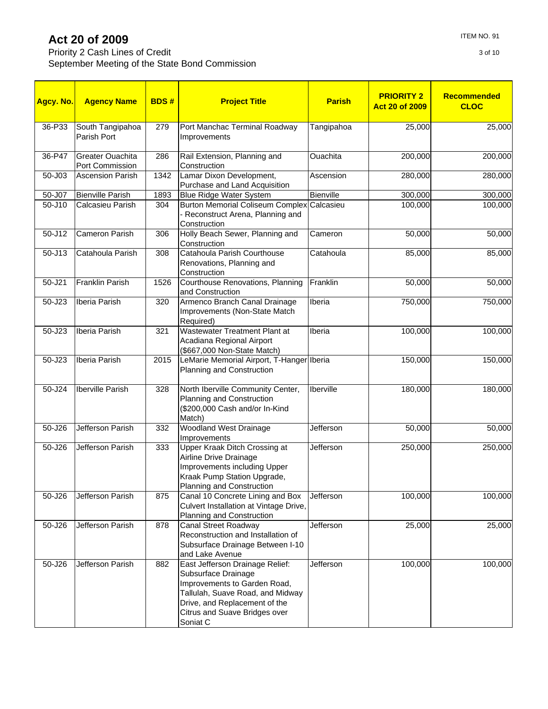Priority 2 Cash Lines of Credit September Meeting of the Sta

| it                  |  |  |
|---------------------|--|--|
| ate Bond Commission |  |  |
|                     |  |  |

| Agcy. No.  | <b>Agency Name</b>                  | <b>BDS#</b> | <b>Project Title</b>                                                                                                                                                                                     | <b>Parish</b> | <b>PRIORITY 2</b><br><b>Act 20 of 2009</b> | Recommended<br><b>CLOC</b> |
|------------|-------------------------------------|-------------|----------------------------------------------------------------------------------------------------------------------------------------------------------------------------------------------------------|---------------|--------------------------------------------|----------------------------|
| 36-P33     | South Tangipahoa<br>Parish Port     | 279         | Port Manchac Terminal Roadway<br>Improvements                                                                                                                                                            | Tangipahoa    | 25,000                                     | 25,000                     |
| 36-P47     | Greater Ouachita<br>Port Commission | 286         | Rail Extension, Planning and<br>Construction                                                                                                                                                             | Ouachita      | 200,000                                    | 200,000                    |
| 50-J03     | <b>Ascension Parish</b>             | 1342        | Lamar Dixon Development,<br>Purchase and Land Acquisition                                                                                                                                                | Ascension     | 280,000                                    | 280,000                    |
| 50-J07     | <b>Bienville Parish</b>             | 1893        | <b>Blue Ridge Water System</b>                                                                                                                                                                           | Bienville     | 300,000                                    | 300,000                    |
| $50 - J10$ | Calcasieu Parish                    | 304         | <b>Burton Memorial Coliseum Complex</b><br>- Reconstruct Arena, Planning and<br>Construction                                                                                                             | Calcasieu     | 100,000                                    | 100,000                    |
| 50-J12     | Cameron Parish                      | 306         | Holly Beach Sewer, Planning and<br>Construction                                                                                                                                                          | Cameron       | 50,000                                     | 50,000                     |
| 50-J13     | Catahoula Parish                    | 308         | Catahoula Parish Courthouse<br>Renovations, Planning and<br>Construction                                                                                                                                 | Catahoula     | 85,000                                     | 85,000                     |
| 50-J21     | Franklin Parish                     | 1526        | Courthouse Renovations, Planning<br>and Construction                                                                                                                                                     | Franklin      | 50,000                                     | 50,000                     |
| 50-J23     | Iberia Parish                       | 320         | Armenco Branch Canal Drainage<br>Improvements (Non-State Match<br>Required)                                                                                                                              | Iberia        | 750,000                                    | 750,000                    |
| $50 - J23$ | <b>Iberia Parish</b>                | 321         | Wastewater Treatment Plant at<br>Acadiana Regional Airport<br>(\$667,000 Non-State Match)                                                                                                                | Iberia        | 100,000                                    | 100,000                    |
| 50-J23     | Iberia Parish                       | 2015        | LeMarie Memorial Airport, T-Hanger Iberia<br>Planning and Construction                                                                                                                                   |               | 150,000                                    | 150,000                    |
| 50-J24     | <b>Iberville Parish</b>             | 328         | North Iberville Community Center,<br>Planning and Construction<br>(\$200,000 Cash and/or In-Kind<br>Match)                                                                                               | Iberville     | 180,000                                    | 180,000                    |
| $50 - J26$ | <b>Jefferson Parish</b>             | 332         | <b>Woodland West Drainage</b><br>Improvements                                                                                                                                                            | Jefferson     | 50,000                                     | 50,000                     |
| $50 - J26$ | <b>Jefferson Parish</b>             | 333         | Upper Kraak Ditch Crossing at<br>Airline Drive Drainage<br>Improvements including Upper<br>Kraak Pump Station Upgrade,<br>Planning and Construction                                                      | Jefferson     | 250,000                                    | 250,000                    |
| 50-J26     | Jefferson Parish                    | 875         | Canal 10 Concrete Lining and Box<br>Culvert Installation at Vintage Drive,<br>Planning and Construction                                                                                                  | Jefferson     | 100,000                                    | 100,000                    |
| 50-J26     | Jefferson Parish                    | 878         | <b>Canal Street Roadway</b><br>Reconstruction and Installation of<br>Subsurface Drainage Between I-10<br>and Lake Avenue                                                                                 | Jefferson     | 25,000                                     | 25,000                     |
| 50-J26     | Jefferson Parish                    | 882         | East Jefferson Drainage Relief:<br>Subsurface Drainage<br>Improvements to Garden Road,<br>Tallulah, Suave Road, and Midway<br>Drive, and Replacement of the<br>Citrus and Suave Bridges over<br>Soniat C | Jefferson     | 100,000                                    | 100,000                    |

3 of 10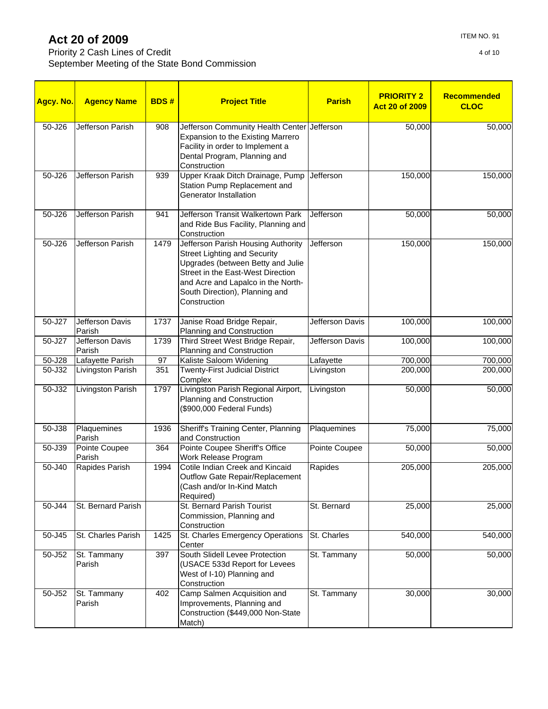### Priority 2 Cash Lines of Credit September Meeting of the State Bond Commission

| Agcy. No. | <b>Agency Name</b>        | <b>BDS#</b> | <b>Project Title</b>                                                                                                                                                                                                                        | <b>Parish</b>    | <b>PRIORITY 2</b><br><b>Act 20 of 2009</b> | <b>Recommended</b><br><b>CLOC</b> |
|-----------|---------------------------|-------------|---------------------------------------------------------------------------------------------------------------------------------------------------------------------------------------------------------------------------------------------|------------------|--------------------------------------------|-----------------------------------|
| 50-J26    | <b>Jefferson Parish</b>   | 908         | Jefferson Community Health Center Jefferson<br>Expansion to the Existing Marrero<br>Facility in order to Implement a<br>Dental Program, Planning and<br>Construction                                                                        |                  | 50,000                                     | 50,000                            |
| 50-J26    | Jefferson Parish          | 939         | Upper Kraak Ditch Drainage, Pump<br>Station Pump Replacement and<br>Generator Installation                                                                                                                                                  | Jefferson        | 150,000                                    | 150,000                           |
| 50-J26    | Jefferson Parish          | 941         | Jefferson Transit Walkertown Park<br>and Ride Bus Facility, Planning and<br>Construction                                                                                                                                                    | Jefferson        | 50,000                                     | 50,000                            |
| 50-J26    | <b>Jefferson Parish</b>   | 1479        | Jefferson Parish Housing Authority<br><b>Street Lighting and Security</b><br>Upgrades (between Betty and Julie<br>Street in the East-West Direction<br>and Acre and Lapalco in the North-<br>South Direction), Planning and<br>Construction | <b>Jefferson</b> | 150,000                                    | 150,000                           |
| 50-J27    | Jefferson Davis<br>Parish | 1737        | Janise Road Bridge Repair,<br>Planning and Construction                                                                                                                                                                                     | Jefferson Davis  | 100,000                                    | 100,000                           |
| 50-J27    | Jefferson Davis<br>Parish | 1739        | Third Street West Bridge Repair,<br>Planning and Construction                                                                                                                                                                               | Jefferson Davis  | 100,000                                    | 100,000                           |
| 50-J28    | Lafayette Parish          | 97          | Kaliste Saloom Widening                                                                                                                                                                                                                     | Lafayette        | 700,000                                    | 700,000                           |
| 50-J32    | Livingston Parish         | 351         | <b>Twenty-First Judicial District</b><br>Complex                                                                                                                                                                                            | Livingston       | 200,000                                    | 200,000                           |
| 50-J32    | Livingston Parish         | 1797        | Livingston Parish Regional Airport,<br>Planning and Construction<br>(\$900,000 Federal Funds)                                                                                                                                               | Livingston       | 50,000                                     | 50,000                            |
| 50-J38    | Plaquemines<br>Parish     | 1936        | Sheriff's Training Center, Planning<br>and Construction                                                                                                                                                                                     | Plaquemines      | 75,000                                     | 75,000                            |
| 50-J39    | Pointe Coupee<br>Parish   | 364         | Pointe Coupee Sheriff's Office<br>Work Release Program                                                                                                                                                                                      | Pointe Coupee    | 50,000                                     | 50,000                            |
| 50-J40    | Rapides Parish            | 1994        | Cotile Indian Creek and Kincaid<br>Outflow Gate Repair/Replacement<br>(Cash and/or In-Kind Match<br>Required)                                                                                                                               | Rapides          | 205,000                                    | 205,000                           |
| 50-J44    | St. Bernard Parish        |             | St. Bernard Parish Tourist<br>Commission, Planning and<br>Construction                                                                                                                                                                      | St. Bernard      | 25,000                                     | 25,000                            |
| 50-J45    | St. Charles Parish        | 1425        | St. Charles Emergency Operations<br>Center                                                                                                                                                                                                  | St. Charles      | 540,000                                    | 540,000                           |
| 50-J52    | St. Tammany<br>Parish     | 397         | South Slidell Levee Protection<br>(USACE 533d Report for Levees<br>West of I-10) Planning and<br>Construction                                                                                                                               | St. Tammany      | 50,000                                     | 50,000                            |
| 50-J52    | St. Tammany<br>Parish     | 402         | Camp Salmen Acquisition and<br>Improvements, Planning and<br>Construction (\$449,000 Non-State<br>Match)                                                                                                                                    | St. Tammany      | 30,000                                     | 30,000                            |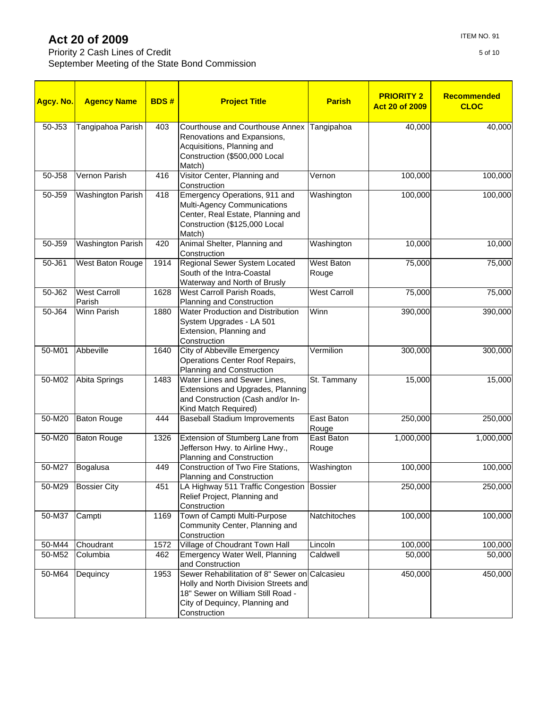Priority 2 Cash Lines of Credit September Meeting of the State Bond Commission

| <b>Agency Name</b><br><b>BDS#</b><br><b>Project Title</b><br>Agcy. No.<br>$50 - 153$<br>Tangipahoa Parish<br>403<br>Courthouse and Courthouse Annex<br>Renovations and Expansions,<br>Acquisitions, Planning and<br>Construction (\$500,000 Local<br>Match)<br>Visitor Center, Planning and<br>50-J58<br>Vernon Parish<br>416<br>Construction<br>50-J59<br>418<br>Emergency Operations, 911 and<br><b>Washington Parish</b><br>Multi-Agency Communications<br>Center, Real Estate, Planning and |                               | <b>Parish</b> | <b>PRIORITY 2</b><br><b>Act 20 of 2009</b>                                                                                                                                   | <b>Recommended</b><br><b>CLOC</b> |           |           |
|-------------------------------------------------------------------------------------------------------------------------------------------------------------------------------------------------------------------------------------------------------------------------------------------------------------------------------------------------------------------------------------------------------------------------------------------------------------------------------------------------|-------------------------------|---------------|------------------------------------------------------------------------------------------------------------------------------------------------------------------------------|-----------------------------------|-----------|-----------|
|                                                                                                                                                                                                                                                                                                                                                                                                                                                                                                 |                               |               |                                                                                                                                                                              | Tangipahoa                        | 40,000    | 40,000    |
|                                                                                                                                                                                                                                                                                                                                                                                                                                                                                                 |                               |               |                                                                                                                                                                              | Vernon                            | 100,000   | 100,000   |
|                                                                                                                                                                                                                                                                                                                                                                                                                                                                                                 |                               |               | Construction (\$125,000 Local<br>Match)                                                                                                                                      | Washington                        | 100,000   | 100,000   |
| 50-J59                                                                                                                                                                                                                                                                                                                                                                                                                                                                                          | <b>Washington Parish</b>      | 420           | Animal Shelter, Planning and<br>Construction                                                                                                                                 | Washington                        | 10,000    | 10,000    |
| 50-J61                                                                                                                                                                                                                                                                                                                                                                                                                                                                                          | West Baton Rouge              | 1914          | Regional Sewer System Located<br>South of the Intra-Coastal<br>Waterway and North of Brusly                                                                                  | West Baton<br>Rouge               | 75,000    | 75,000    |
| $50 - 162$                                                                                                                                                                                                                                                                                                                                                                                                                                                                                      | <b>West Carroll</b><br>Parish | 1628          | West Carroll Parish Roads,<br>Planning and Construction                                                                                                                      | <b>West Carroll</b>               | 75,000    | 75,000    |
| $50 - 164$                                                                                                                                                                                                                                                                                                                                                                                                                                                                                      | <b>Winn Parish</b>            | 1880          | Water Production and Distribution<br>System Upgrades - LA 501<br>Extension, Planning and<br>Construction                                                                     | Winn                              | 390,000   | 390,000   |
| 50-M01                                                                                                                                                                                                                                                                                                                                                                                                                                                                                          | Abbeville                     | 1640          | <b>City of Abbeville Emergency</b><br>Operations Center Roof Repairs,<br>Planning and Construction                                                                           | Vermilion                         | 300,000   | 300,000   |
| 50-M02                                                                                                                                                                                                                                                                                                                                                                                                                                                                                          | Abita Springs                 | 1483          | Water Lines and Sewer Lines,<br>Extensions and Upgrades, Planning<br>and Construction (Cash and/or In-<br>Kind Match Required)                                               | St. Tammany                       | 15,000    | 15,000    |
| 50-M20                                                                                                                                                                                                                                                                                                                                                                                                                                                                                          | <b>Baton Rouge</b>            | 444           | <b>Baseball Stadium Improvements</b>                                                                                                                                         | East Baton<br>Rouge               | 250,000   | 250,000   |
| 50-M20                                                                                                                                                                                                                                                                                                                                                                                                                                                                                          | <b>Baton Rouge</b>            | 1326          | Extension of Stumberg Lane from<br>Jefferson Hwy. to Airline Hwy.,<br>Planning and Construction                                                                              | East Baton<br>Rouge               | 1,000,000 | 1,000,000 |
| 50-M27                                                                                                                                                                                                                                                                                                                                                                                                                                                                                          | Bogalusa                      | 449           | <b>Construction of Two Fire Stations,</b><br>Planning and Construction                                                                                                       | Washington                        | 100,000   | 100,000   |
| 50-M29                                                                                                                                                                                                                                                                                                                                                                                                                                                                                          | <b>Bossier City</b>           | 451           | LA Highway 511 Traffic Congestion Bossier<br>Relief Project, Planning and<br>Construction                                                                                    |                                   | 250,000   | 250,000   |
| 50-M37                                                                                                                                                                                                                                                                                                                                                                                                                                                                                          | Campti                        | 1169          | Town of Campti Multi-Purpose<br>Community Center, Planning and<br>Construction                                                                                               | Natchitoches                      | 100,000   | 100,000   |
| 50-M44                                                                                                                                                                                                                                                                                                                                                                                                                                                                                          | Choudrant                     | 1572          | Village of Choudrant Town Hall                                                                                                                                               | Lincoln                           | 100,000   | 100,000   |
| 50-M52                                                                                                                                                                                                                                                                                                                                                                                                                                                                                          | Columbia                      | 462           | Emergency Water Well, Planning<br>and Construction                                                                                                                           | Caldwell                          | 50,000    | 50,000    |
| 50-M64                                                                                                                                                                                                                                                                                                                                                                                                                                                                                          | Dequincy                      | 1953          | Sewer Rehabilitation of 8" Sewer on Calcasieu<br>Holly and North Division Streets and<br>18" Sewer on William Still Road -<br>City of Dequincy, Planning and<br>Construction |                                   | 450,000   | 450,000   |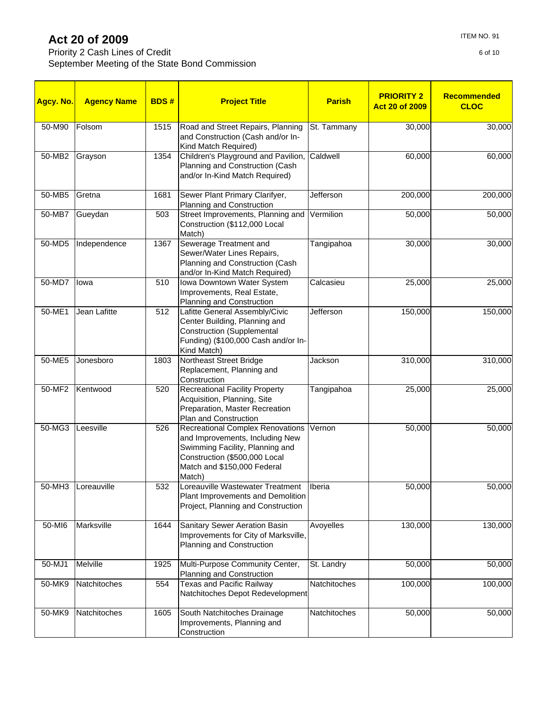Priority 2 Cash Lines of Credit September Meeting of the State Bond Commission

| <mark>Agcy. No.</mark> | <b>Agency Name</b> | <b>BDS#</b> | <b>Project Title</b>                                                                                                                                                                    | <b>Parish</b>    | <b>PRIORITY 2</b><br><b>Act 20 of 2009</b> | <b>Recommended</b><br><b>CLOC</b> |
|------------------------|--------------------|-------------|-----------------------------------------------------------------------------------------------------------------------------------------------------------------------------------------|------------------|--------------------------------------------|-----------------------------------|
| 50-M90                 | Folsom             | 1515        | Road and Street Repairs, Planning<br>and Construction (Cash and/or In-<br>Kind Match Required)                                                                                          | St. Tammany      | 30,000                                     | 30,000                            |
| 50-MB2                 | Grayson            | 1354        | Children's Playground and Pavilion,<br>Planning and Construction (Cash<br>and/or In-Kind Match Required)                                                                                | Caldwell         | 60,000                                     | 60,000                            |
| 50-MB5                 | Gretna             | 1681        | Sewer Plant Primary Clarifyer,<br>Planning and Construction                                                                                                                             | <b>Jefferson</b> | 200,000                                    | 200,000                           |
| 50-MB7                 | Gueydan            | 503         | Street Improvements, Planning and<br>Construction (\$112,000 Local<br>Match)                                                                                                            | Vermilion        | 50,000                                     | 50,000                            |
| 50-MD5                 | Independence       | 1367        | Sewerage Treatment and<br>Sewer/Water Lines Repairs,<br>Planning and Construction (Cash<br>and/or In-Kind Match Required)                                                               | Tangipahoa       | 30,000                                     | 30,000                            |
| 50-MD7                 | lowa               | 510         | Iowa Downtown Water System<br>Improvements, Real Estate,<br>Planning and Construction                                                                                                   | Calcasieu        | 25,000                                     | 25,000                            |
| 50-ME1                 | Jean Lafitte       | 512         | Lafitte General Assembly/Civic<br>Center Building, Planning and<br><b>Construction (Supplemental</b><br>Funding) (\$100,000 Cash and/or In-<br>Kind Match)                              | Jefferson        | 150,000                                    | 150,000                           |
| 50-ME5                 | Jonesboro          | 1803        | Northeast Street Bridge<br>Replacement, Planning and<br>Construction                                                                                                                    | Jackson          | 310,000                                    | 310,000                           |
| 50-MF2                 | Kentwood           | 520         | <b>Recreational Facility Property</b><br>Acquisition, Planning, Site<br>Preparation, Master Recreation<br>Plan and Construction                                                         | Tangipahoa       | 25,000                                     | 25,000                            |
| 50-MG3                 | Leesville          | 526         | <b>Recreational Complex Renovations</b><br>and Improvements, Including New<br>Swimming Facility, Planning and<br>Construction (\$500,000 Local<br>Match and \$150,000 Federal<br>Match) | Vernon           | 50,000                                     | 50,000                            |
| 50-MH3                 | Loreauville        | 532         | Loreauville Wastewater Treatment<br>Plant Improvements and Demolition<br>Project, Planning and Construction                                                                             | Iberia           | 50,000                                     | 50,000                            |
| 50-MI6                 | Marksville         | 1644        | Sanitary Sewer Aeration Basin                                                                                                                                                           | Avovelles        | 130,000                                    | 130,000                           |

Improvements for City of Marksville,

Natchitoches Depot Redevelopment

Planning and Construction

Planning and Construction

Improvements, Planning and

Construction

50-MJ1 Melville 1925 Multi-Purpose Community Center,

50-MK9 Natchitoches | 554 Texas and Pacific Railway

50-MK9 Natchitoches 1605 South Natchitoches Drainage

St. Landry | 50,000 50,000

Natchitoches | 100,000 100,000

Natchitoches 50,000 50,000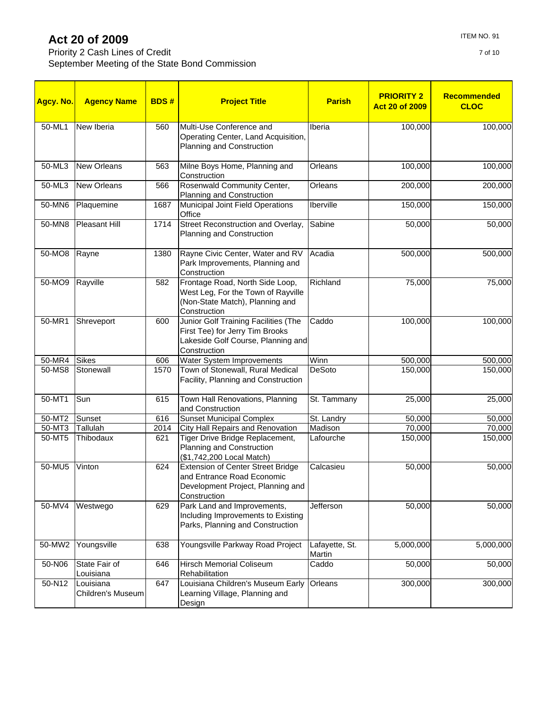Priority 2 Cash Lines of Credit September Meeting of the State Bond Commission

| Agcy. No. | <b>Agency Name</b>             | <b>BDS#</b> | <b>Project Title</b>                                                                                                          | <b>Parish</b>            | <b>PRIORITY 2</b><br><b>Act 20 of 2009</b> | <b>Recommended</b><br><b>CLOC</b> |
|-----------|--------------------------------|-------------|-------------------------------------------------------------------------------------------------------------------------------|--------------------------|--------------------------------------------|-----------------------------------|
| 50-ML1    | New Iberia                     | 560         | Multi-Use Conference and<br>Operating Center, Land Acquisition,<br>Planning and Construction                                  | Iberia                   | 100,000                                    | 100,000                           |
| 50-ML3    | <b>New Orleans</b>             | 563         | Milne Boys Home, Planning and<br>Construction                                                                                 | Orleans                  | 100,000                                    | 100,000                           |
| 50-ML3    | <b>New Orleans</b>             | 566         | Rosenwald Community Center,<br>Planning and Construction                                                                      | Orleans                  | 200,000                                    | 200,000                           |
| 50-MN6    | Plaquemine                     | 1687        | <b>Municipal Joint Field Operations</b><br>Office                                                                             | Iberville                | 150,000                                    | 150,000                           |
| 50-MN8    | <b>Pleasant Hill</b>           | 1714        | Street Reconstruction and Overlay,<br>Planning and Construction                                                               | Sabine                   | 50,000                                     | 50,000                            |
| 50-MO8    | Rayne                          | 1380        | Rayne Civic Center, Water and RV<br>Park Improvements, Planning and<br>Construction                                           | Acadia                   | 500,000                                    | 500,000                           |
| 50-MO9    | Rayville                       | 582         | Frontage Road, North Side Loop,<br>West Leg, For the Town of Rayville<br>(Non-State Match), Planning and<br>Construction      | Richland                 | 75,000                                     | 75,000                            |
| 50-MR1    | Shreveport                     | 600         | Junior Golf Training Facilities (The<br>First Tee) for Jerry Tim Brooks<br>Lakeside Golf Course, Planning and<br>Construction | Caddo                    | 100,000                                    | 100,000                           |
| 50-MR4    | <b>Sikes</b>                   | 606         | Water System Improvements                                                                                                     | Winn                     | 500,000                                    | 500,000                           |
| 50-MS8    | Stonewall                      | 1570        | Town of Stonewall, Rural Medical<br>Facility, Planning and Construction                                                       | <b>DeSoto</b>            | 150,000                                    | 150,000                           |
| 50-MT1    | Sun                            | 615         | Town Hall Renovations, Planning<br>and Construction                                                                           | St. Tammany              | 25,000                                     | 25,000                            |
| 50-MT2    | Sunset                         | 616         | <b>Sunset Municipal Complex</b>                                                                                               | St. Landry               | 50,000                                     | 50,000                            |
| 50-MT3    | Tallulah                       | 2014        | City Hall Repairs and Renovation                                                                                              | Madison                  | 70,000                                     | 70,000                            |
| 50-MT5    | Thibodaux                      | 621         | Tiger Drive Bridge Replacement,<br>Planning and Construction<br>(\$1,742,200 Local Match)                                     | Lafourche                | 150,000                                    | 150,000                           |
| 50-MU5    | Vinton                         | 624         | <b>Extension of Center Street Bridge</b><br>and Entrance Road Economic<br>Development Project, Planning and<br>Construction   | Calcasieu                | 50,000                                     | 50,000                            |
| 50-MV4    | Westwego                       | 629         | Park Land and Improvements,<br>Including Improvements to Existing<br>Parks, Planning and Construction                         | <b>Jefferson</b>         | 50,000                                     | 50,000                            |
| 50-MW2    | Youngsville                    | 638         | Youngsville Parkway Road Project                                                                                              | Lafayette, St.<br>Martin | 5,000,000                                  | 5,000,000                         |
| 50-N06    | State Fair of<br>Louisiana     | 646         | Hirsch Memorial Coliseum<br>Rehabilitation                                                                                    | Caddo                    | 50,000                                     | 50,000                            |
| 50-N12    | Louisiana<br>Children's Museum | 647         | Louisiana Children's Museum Early<br>Learning Village, Planning and<br>Design                                                 | Orleans                  | 300,000                                    | 300,000                           |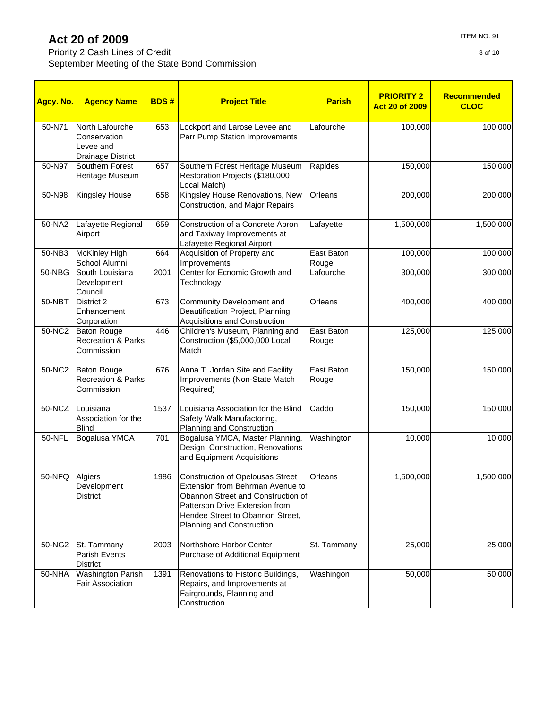Priority 2 Cash Lines of Credit September Meeting of the State Bond Commission

| Agcy. No. | <b>Agency Name</b>                                                | <b>BDS#</b> | <b>Project Title</b>                                                                                                                                                                                                 | <b>Parish</b>       | <b>PRIORITY 2</b><br><b>Act 20 of 2009</b> | <b>Recommended</b><br><b>CLOC</b> |
|-----------|-------------------------------------------------------------------|-------------|----------------------------------------------------------------------------------------------------------------------------------------------------------------------------------------------------------------------|---------------------|--------------------------------------------|-----------------------------------|
| 50-N71    | North Lafourche<br>Conservation<br>Levee and<br>Drainage District | 653         | Lockport and Larose Levee and<br>Parr Pump Station Improvements                                                                                                                                                      | Lafourche           | 100,000                                    | 100,000                           |
| 50-N97    | Southern Forest<br>Heritage Museum                                | 657         | Southern Forest Heritage Museum<br>Restoration Projects (\$180,000<br>Local Match)                                                                                                                                   | Rapides             | 150,000                                    | 150,000                           |
| 50-N98    | <b>Kingsley House</b>                                             | 658         | Kingsley House Renovations, New<br>Construction, and Major Repairs                                                                                                                                                   | Orleans             | 200,000                                    | 200,000                           |
| 50-NA2    | Lafayette Regional<br>Airport                                     | 659         | Construction of a Concrete Apron<br>and Taxiway Improvements at<br>Lafayette Regional Airport                                                                                                                        | Lafayette           | 1,500,000                                  | 1,500,000                         |
| 50-NB3    | <b>McKinley High</b><br>School Alumni                             | 664         | Acquisition of Property and<br>Improvements                                                                                                                                                                          | East Baton<br>Rouge | 100,000                                    | 100,000                           |
| 50-NBG    | South Louisiana<br>Development<br>Council                         | 2001        | Center for Ecnomic Growth and<br>Technology                                                                                                                                                                          | Lafourche           | 300,000                                    | 300,000                           |
| $50-NBT$  | District 2<br>Enhancement<br>Corporation                          | 673         | Community Development and<br>Beautification Project, Planning,<br>Acquisitions and Construction                                                                                                                      | Orleans             | 400,000                                    | 400,000                           |
| 50-NC2    | <b>Baton Rouge</b><br><b>Recreation &amp; Parks</b><br>Commission | 446         | Children's Museum, Planning and<br>Construction (\$5,000,000 Local<br>Match                                                                                                                                          | East Baton<br>Rouge | 125,000                                    | 125,000                           |
| 50-NC2    | <b>Baton Rouge</b><br>Recreation & Parks<br>Commission            | 676         | Anna T. Jordan Site and Facility<br>Improvements (Non-State Match<br>Required)                                                                                                                                       | East Baton<br>Rouge | 150,000                                    | 150,000                           |
| 50-NCZ    | Louisiana<br>Association for the<br><b>Blind</b>                  | 1537        | Louisiana Association for the Blind<br>Safety Walk Manufactoring,<br>Planning and Construction                                                                                                                       | Caddo               | 150,000                                    | 150,000                           |
| 50-NFL    | Bogalusa YMCA                                                     | 701         | Bogalusa YMCA, Master Planning,<br>Design, Construction, Renovations<br>and Equipment Acquisitions                                                                                                                   | Washington          | 10,000                                     | 10,000                            |
| $50-NFQ$  | Algiers<br>Development<br>District                                | 1986        | <b>Construction of Opelousas Street</b><br>Extension from Behrman Avenue to<br>Obannon Street and Construction of<br>Patterson Drive Extension from<br>Hendee Street to Obannon Street,<br>Planning and Construction | Orleans             | 1,500,000                                  | 1,500,000                         |
| 50-NG2    | St. Tammany<br><b>Parish Events</b><br>District                   | 2003        | Northshore Harbor Center<br>Purchase of Additional Equipment                                                                                                                                                         | St. Tammany         | 25,000                                     | 25,000                            |
| 50-NHA    | <b>Washington Parish</b><br>Fair Association                      | 1391        | Renovations to Historic Buildings,<br>Repairs, and Improvements at<br>Fairgrounds, Planning and<br>Construction                                                                                                      | Washingon           | 50,000                                     | 50,000                            |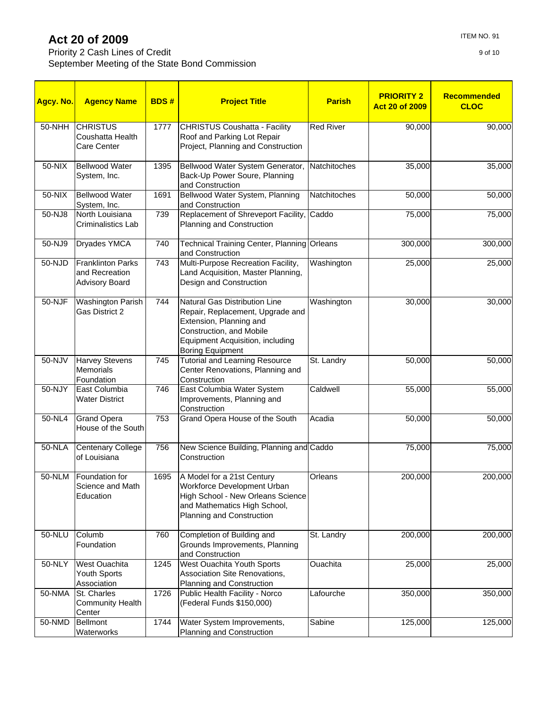Priority 2 Cash Lines of Credit September Meeting of the State Bond Commission

| ITEM NO. 91 |
|-------------|
|             |

| Agcy. No. | <b>Agency Name</b>                                                  | <b>BDS#</b> | <b>Project Title</b>                                                                                                                                                                    | <b>Parish</b>    | <b>PRIORITY 2</b><br><b>Act 20 of 2009</b> | Recommended<br><b>CLOC</b> |
|-----------|---------------------------------------------------------------------|-------------|-----------------------------------------------------------------------------------------------------------------------------------------------------------------------------------------|------------------|--------------------------------------------|----------------------------|
| 50-NHH    | <b>CHRISTUS</b><br>Coushatta Health<br>Care Center                  | 1777        | <b>CHRISTUS Coushatta - Facility</b><br>Roof and Parking Lot Repair<br>Project, Planning and Construction                                                                               | <b>Red River</b> | 90,000                                     | 90,000                     |
| 50-NIX    | <b>Bellwood Water</b><br>System, Inc.                               | 1395        | Bellwood Water System Generator,<br>Back-Up Power Soure, Planning<br>and Construction                                                                                                   | Natchitoches     | 35,000                                     | 35,000                     |
| $50-NIX$  | <b>Bellwood Water</b><br>System, Inc.                               | 1691        | Bellwood Water System, Planning<br>and Construction                                                                                                                                     | Natchitoches     | 50,000                                     | 50,000                     |
| 50-NJ8    | North Louisiana<br>Criminalistics Lab                               | 739         | Replacement of Shreveport Facility,<br>Planning and Construction                                                                                                                        | Caddo            | 75,000                                     | 75,000                     |
| 50-NJ9    | Dryades YMCA                                                        | 740         | Technical Training Center, Planning Orleans<br>and Construction                                                                                                                         |                  | 300,000                                    | 300,000                    |
| 50-NJD    | <b>Franklinton Parks</b><br>and Recreation<br><b>Advisory Board</b> | 743         | Multi-Purpose Recreation Facility,<br>Land Acquisition, Master Planning,<br>Design and Construction                                                                                     | Washington       | 25,000                                     | 25,000                     |
| 50-NJF    | <b>Washington Parish</b><br>Gas District 2                          | 744         | Natural Gas Distribution Line<br>Repair, Replacement, Upgrade and<br>Extension, Planning and<br>Construction, and Mobile<br>Equipment Acquisition, including<br><b>Boring Equipment</b> | Washington       | 30,000                                     | 30,000                     |
| 50-NJV    | <b>Harvey Stevens</b><br><b>Memorials</b><br>Foundation             | 745         | <b>Tutorial and Learning Resource</b><br>Center Renovations, Planning and<br>Construction                                                                                               | St. Landry       | 50,000                                     | 50,000                     |
| 50-NJY    | East Columbia<br><b>Water District</b>                              | 746         | East Columbia Water System<br>Improvements, Planning and<br>Construction                                                                                                                | Caldwell         | 55,000                                     | 55,000                     |
| 50-NL4    | <b>Grand Opera</b><br>House of the South                            | 753         | Grand Opera House of the South                                                                                                                                                          | Acadia           | 50,000                                     | 50,000                     |
| 50-NLA    | <b>Centenary College</b><br>of Louisiana                            | 756         | New Science Building, Planning and Caddo<br>Construction                                                                                                                                |                  | 75,000                                     | 75,000                     |
| 50-NLM    | Foundation for<br>Science and Math<br>Education                     | 1695        | A Model for a 21st Century<br>Workforce Development Urban<br>High School - New Orleans Science<br>and Mathematics High School,<br>Planning and Construction                             | Orleans          | 200,000                                    | 200,000                    |
| 50-NLU    | Columb<br>Foundation                                                | 760         | Completion of Building and<br>Grounds Improvements, Planning<br>and Construction                                                                                                        | St. Landry       | 200,000                                    | 200,000                    |
| $50-NLY$  | West Ouachita<br>Youth Sports<br>Association                        | 1245        | <b>West Ouachita Youth Sports</b><br>Association Site Renovations,<br>Planning and Construction                                                                                         | Ouachita         | 25,000                                     | 25,000                     |
| 50-NMA    | St. Charles<br><b>Community Health</b><br>Center                    | 1726        | Public Health Facility - Norco<br>(Federal Funds \$150,000)                                                                                                                             | Lafourche        | 350,000                                    | 350,000                    |
| 50-NMD    | <b>Bellmont</b><br>Waterworks                                       | 1744        | Water System Improvements,<br>Planning and Construction                                                                                                                                 | Sabine           | 125,000                                    | 125,000                    |